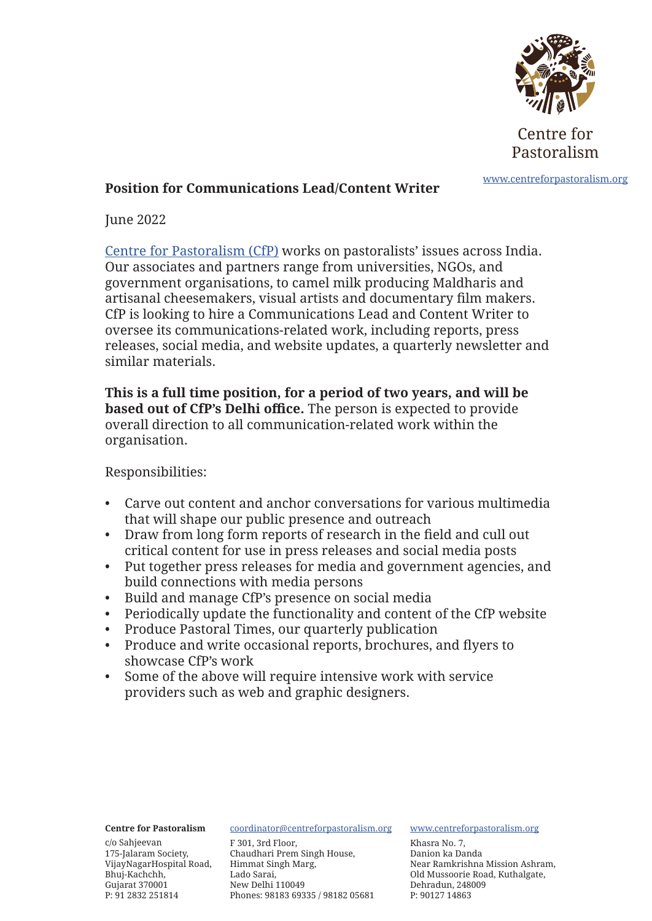

Centre for Pastoralism

# www.centreforpastoralism.org **Position for Communications Lead/Content Writer**

June 2022

Centre for Pastoralism (CfP) works on pastoralists' issues across India. Our associates and partners range from universities, NGOs, and government organisations, to camel milk producing Maldharis and artisanal cheesemakers, visual artists and documentary film makers. CfP is looking to hire a Communications Lead and Content Writer to oversee its communications-related work, including reports, press releases, social media, and website updates, a quarterly newsletter and similar materials.

**This is a full time position, for a period of two years, and will be based out of CfP's Delhi office.** The person is expected to provide overall direction to all communication-related work within the organisation.

Responsibilities:

- Carve out content and anchor conversations for various multimedia that will shape our public presence and outreach
- Draw from long form reports of research in the field and cull out critical content for use in press releases and social media posts
- Put together press releases for media and government agencies, and build connections with media persons
- Build and manage CfP's presence on social media
- Periodically update the functionality and content of the CfP website
- Produce Pastoral Times, our quarterly publication
- Produce and write occasional reports, brochures, and flyers to showcase CfP's work
- Some of the above will require intensive work with service providers such as web and graphic designers.

### **Centre for Pastoralism**

c/o Sahjeevan 175-Jalaram Society, VijayNagarHospital Road, Himmat Singh Marg, Bhuj-Kachchh, Gujarat 370001 P: 91 2832 251814

### coordinator@centreforpastoralism.org

F 301, 3rd Floor, Chaudhari Prem Singh House, Lado Sarai, New Delhi 110049 Phones: 98183 69335 / 98182 05681

### www.centreforpastoralism.org

Khasra No. 7, Danion ka Danda Near Ramkrishna Mission Ashram, Old Mussoorie Road, Kuthalgate, Dehradun, 248009 P: 90127 14863